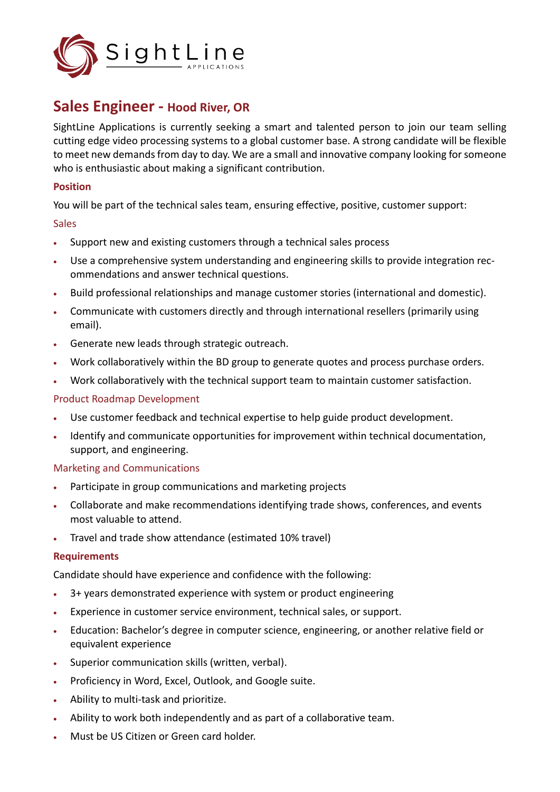

# **Sales Engineer - Hood River, OR**

SightLine Applications is currently seeking a smart and talented person to join our team selling cutting edge video processing systems to a global customer base. A strong candidate will be flexible to meet new demands from day to day. We are a small and innovative company looking for someone who is enthusiastic about making a significant contribution.

### **Position**

You will be part of the technical sales team, ensuring effective, positive, customer support:

## **Sales**

- Support new and existing customers through a technical sales process
- Use a comprehensive system understanding and engineering skills to provide integration recommendations and answer technical questions.
- Build professional relationships and manage customer stories (international and domestic).
- Communicate with customers directly and through international resellers (primarily using email).
- Generate new leads through strategic outreach.
- Work collaboratively within the BD group to generate quotes and process purchase orders.
- Work collaboratively with the technical support team to maintain customer satisfaction.

## Product Roadmap Development

- Use customer feedback and technical expertise to help guide product development.
- Identify and communicate opportunities for improvement within technical documentation, support, and engineering.

### Marketing and Communications

- Participate in group communications and marketing projects
- Collaborate and make recommendations identifying trade shows, conferences, and events most valuable to attend.
- Travel and trade show attendance (estimated 10% travel)

# **Requirements**

Candidate should have experience and confidence with the following:

- 3+ years demonstrated experience with system or product engineering
- Experience in customer service environment, technical sales, or support.
- Education: Bachelor's degree in computer science, engineering, or another relative field or equivalent experience
- Superior communication skills (written, verbal).
- Proficiency in Word, Excel, Outlook, and Google suite.
- Ability to multi-task and prioritize.
- Ability to work both independently and as part of a collaborative team.
- Must be US Citizen or Green card holder.